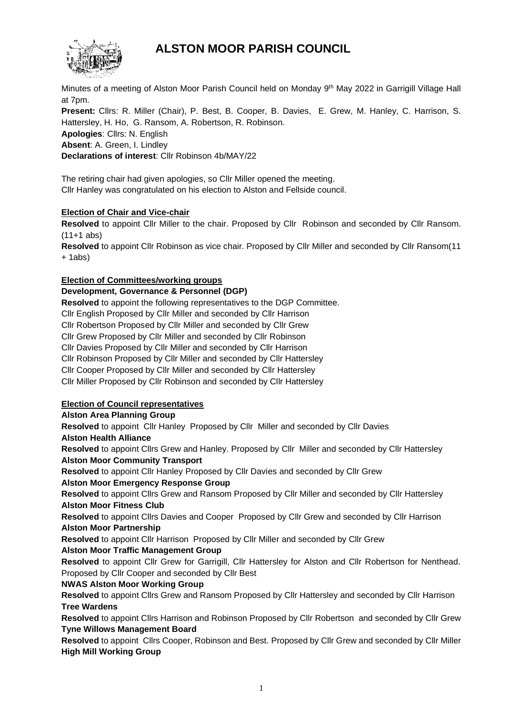# **ALSTON MOOR PARISH COUNCIL**



Minutes of a meeting of Alston Moor Parish Council held on Monday 9<sup>th</sup> May 2022 in Garrigill Village Hall at 7pm.

**Present:** Cllrs: R. Miller (Chair), P. Best, B. Cooper, B. Davies, E. Grew, M. Hanley, C. Harrison, S. Hattersley, H. Ho, G. Ransom, A. Robertson, R. Robinson. **Apologies**: Cllrs: N. English **Absent**: A. Green, I. Lindley

**Declarations of interest**: Cllr Robinson 4b/MAY/22

The retiring chair had given apologies, so Cllr Miller opened the meeting. Cllr Hanley was congratulated on his election to Alston and Fellside council.

# **Election of Chair and Vice-chair**

**Resolved** to appoint Cllr Miller to the chair. Proposed by Cllr Robinson and seconded by Cllr Ransom. (11+1 abs)

**Resolved** to appoint Cllr Robinson as vice chair. Proposed by Cllr Miller and seconded by Cllr Ransom(11  $+ 1$ abs)

# **Election of Committees/working groups**

## **Development, Governance & Personnel (DGP)**

**Resolved** to appoint the following representatives to the DGP Committee.

Cllr English Proposed by Cllr Miller and seconded by Cllr Harrison

Cllr Robertson Proposed by Cllr Miller and seconded by Cllr Grew

Cllr Grew Proposed by Cllr Miller and seconded by Cllr Robinson

Cllr Davies Proposed by Cllr Miller and seconded by Cllr Harrison

Cllr Robinson Proposed by Cllr Miller and seconded by Cllr Hattersley

Cllr Cooper Proposed by Cllr Miller and seconded by Cllr Hattersley

Cllr Miller Proposed by Cllr Robinson and seconded by Cllr Hattersley

# **Election of Council representatives**

### **Alston Area Planning Group**

**Resolved** to appoint Cllr Hanley Proposed by Cllr Miller and seconded by Cllr Davies

## **Alston Health Alliance**

**Resolved** to appoint Cllrs Grew and Hanley. Proposed by Cllr Miller and seconded by Cllr Hattersley **Alston Moor Community Transport**

**Resolved** to appoint Cllr Hanley Proposed by Cllr Davies and seconded by Cllr Grew

### **Alston Moor Emergency Response Group**

**Resolved** to appoint Cllrs Grew and Ransom Proposed by Cllr Miller and seconded by Cllr Hattersley **Alston Moor Fitness Club**

**Resolved** to appoint Cllrs Davies and Cooper Proposed by Cllr Grew and seconded by Cllr Harrison **Alston Moor Partnership**

**Resolved** to appoint Cllr Harrison Proposed by Cllr Miller and seconded by Cllr Grew

# **Alston Moor Traffic Management Group**

**Resolved** to appoint Cllr Grew for Garrigill, Cllr Hattersley for Alston and Cllr Robertson for Nenthead. Proposed by Cllr Cooper and seconded by Cllr Best

### **NWAS Alston Moor Working Group**

**Resolved** to appoint Cllrs Grew and Ransom Proposed by Cllr Hattersley and seconded by Cllr Harrison **Tree Wardens**

**Resolved** to appoint Cllrs Harrison and Robinson Proposed by Cllr Robertson and seconded by Cllr Grew **Tyne Willows Management Board**

**Resolved** to appoint Cllrs Cooper, Robinson and Best. Proposed by Cllr Grew and seconded by Cllr Miller **High Mill Working Group**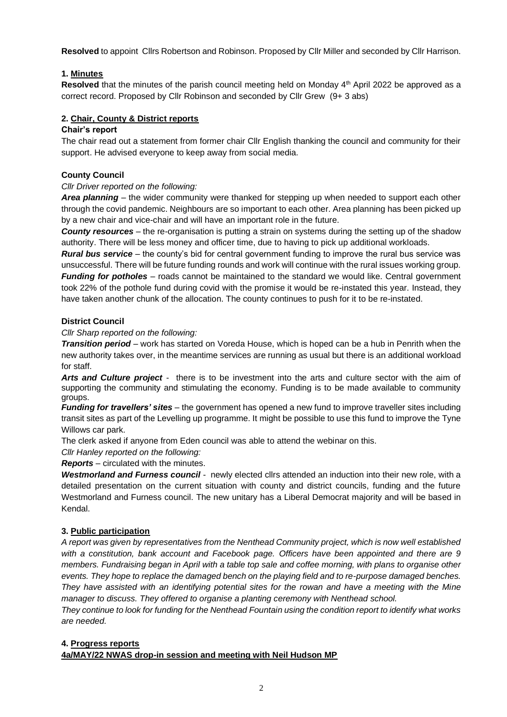**Resolved** to appoint Cllrs Robertson and Robinson. Proposed by Cllr Miller and seconded by Cllr Harrison.

# **1. Minutes**

Resolved that the minutes of the parish council meeting held on Monday 4<sup>th</sup> April 2022 be approved as a correct record. Proposed by Cllr Robinson and seconded by Cllr Grew (9+ 3 abs)

## **2. Chair, County & District reports**

#### **Chair's report**

The chair read out a statement from former chair Cllr English thanking the council and community for their support. He advised everyone to keep away from social media.

### **County Council**

### *Cllr Driver reported on the following:*

*Area planning* – the wider community were thanked for stepping up when needed to support each other through the covid pandemic. Neighbours are so important to each other. Area planning has been picked up by a new chair and vice-chair and will have an important role in the future.

*County resources* – the re-organisation is putting a strain on systems during the setting up of the shadow authority. There will be less money and officer time, due to having to pick up additional workloads.

*Rural bus service –* the county's bid for central government funding to improve the rural bus service was unsuccessful. There will be future funding rounds and work will continue with the rural issues working group. *Funding for potholes* – roads cannot be maintained to the standard we would like. Central government took 22% of the pothole fund during covid with the promise it would be re-instated this year. Instead, they have taken another chunk of the allocation. The county continues to push for it to be re-instated.

### **District Council**

*Cllr Sharp reported on the following:*

*Transition period* – work has started on Voreda House, which is hoped can be a hub in Penrith when the new authority takes over, in the meantime services are running as usual but there is an additional workload for staff.

*Arts and Culture project* - there is to be investment into the arts and culture sector with the aim of supporting the community and stimulating the economy. Funding is to be made available to community groups.

*Funding for travellers' sites* – the government has opened a new fund to improve traveller sites including transit sites as part of the Levelling up programme. It might be possible to use this fund to improve the Tyne Willows car park.

The clerk asked if anyone from Eden council was able to attend the webinar on this.

*Cllr Hanley reported on the following:* 

*Reports* – circulated with the minutes.

*Westmorland and Furness council* - newly elected cllrs attended an induction into their new role, with a detailed presentation on the current situation with county and district councils, funding and the future Westmorland and Furness council. The new unitary has a Liberal Democrat majority and will be based in Kendal.

### **3. Public participation**

*A report was given by representatives from the Nenthead Community project, which is now well established with a constitution, bank account and Facebook page. Officers have been appointed and there are 9 members. Fundraising began in April with a table top sale and coffee morning, with plans to organise other events. They hope to replace the damaged bench on the playing field and to re-purpose damaged benches. They have assisted with an identifying potential sites for the rowan and have a meeting with the Mine manager to discuss. They offered to organise a planting ceremony with Nenthead school.* 

*They continue to look for funding for the Nenthead Fountain using the condition report to identify what works are needed.* 

### **4. Progress reports**

**4a/MAY/22 NWAS drop-in session and meeting with Neil Hudson MP**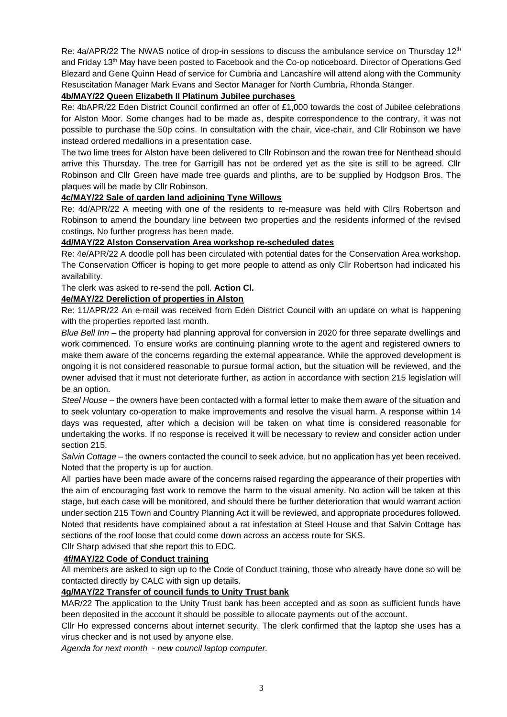Re: 4a/APR/22 The NWAS notice of drop-in sessions to discuss the ambulance service on Thursday 12<sup>th</sup> and Friday 13th May have been posted to Facebook and the Co-op noticeboard. Director of Operations Ged Blezard and Gene Quinn Head of service for Cumbria and Lancashire will attend along with the Community Resuscitation Manager Mark Evans and Sector Manager for North Cumbria, Rhonda Stanger.

## **4b/MAY/22 Queen Elizabeth II Platinum Jubilee purchases**

Re: 4bAPR/22 Eden District Council confirmed an offer of £1,000 towards the cost of Jubilee celebrations for Alston Moor. Some changes had to be made as, despite correspondence to the contrary, it was not possible to purchase the 50p coins. In consultation with the chair, vice-chair, and Cllr Robinson we have instead ordered medallions in a presentation case.

The two lime trees for Alston have been delivered to Cllr Robinson and the rowan tree for Nenthead should arrive this Thursday. The tree for Garrigill has not be ordered yet as the site is still to be agreed. Cllr Robinson and Cllr Green have made tree guards and plinths, are to be supplied by Hodgson Bros. The plaques will be made by Cllr Robinson.

## **4c/MAY/22 Sale of garden land adjoining Tyne Willows**

Re: 4d/APR/22 A meeting with one of the residents to re-measure was held with Cllrs Robertson and Robinson to amend the boundary line between two properties and the residents informed of the revised costings. No further progress has been made.

## **4d/MAY/22 Alston Conservation Area workshop re-scheduled dates**

Re: 4e/APR/22 A doodle poll has been circulated with potential dates for the Conservation Area workshop. The Conservation Officer is hoping to get more people to attend as only Cllr Robertson had indicated his availability.

The clerk was asked to re-send the poll. **Action Cl.**

## **4e/MAY/22 Dereliction of properties in Alston**

Re: 11/APR/22 An e-mail was received from Eden District Council with an update on what is happening with the properties reported last month.

*Blue Bell Inn* – the property had planning approval for conversion in 2020 for three separate dwellings and work commenced. To ensure works are continuing planning wrote to the agent and registered owners to make them aware of the concerns regarding the external appearance. While the approved development is ongoing it is not considered reasonable to pursue formal action, but the situation will be reviewed, and the owner advised that it must not deteriorate further, as action in accordance with section 215 legislation will be an option.

*Steel House* – the owners have been contacted with a formal letter to make them aware of the situation and to seek voluntary co-operation to make improvements and resolve the visual harm. A response within 14 days was requested, after which a decision will be taken on what time is considered reasonable for undertaking the works. If no response is received it will be necessary to review and consider action under section 215.

*Salvin Cottage* – the owners contacted the council to seek advice, but no application has yet been received. Noted that the property is up for auction.

All parties have been made aware of the concerns raised regarding the appearance of their properties with the aim of encouraging fast work to remove the harm to the visual amenity. No action will be taken at this stage, but each case will be monitored, and should there be further deterioration that would warrant action under section 215 Town and Country Planning Act it will be reviewed, and appropriate procedures followed. Noted that residents have complained about a rat infestation at Steel House and that Salvin Cottage has sections of the roof loose that could come down across an access route for SKS.

Cllr Sharp advised that she report this to EDC.

### **4f/MAY/22 Code of Conduct training**

All members are asked to sign up to the Code of Conduct training, those who already have done so will be contacted directly by CALC with sign up details.

# **4g/MAY/22 Transfer of council funds to Unity Trust bank**

MAR/22 The application to the Unity Trust bank has been accepted and as soon as sufficient funds have been deposited in the account it should be possible to allocate payments out of the account.

Cllr Ho expressed concerns about internet security. The clerk confirmed that the laptop she uses has a virus checker and is not used by anyone else.

*Agenda for next month - new council laptop computer.*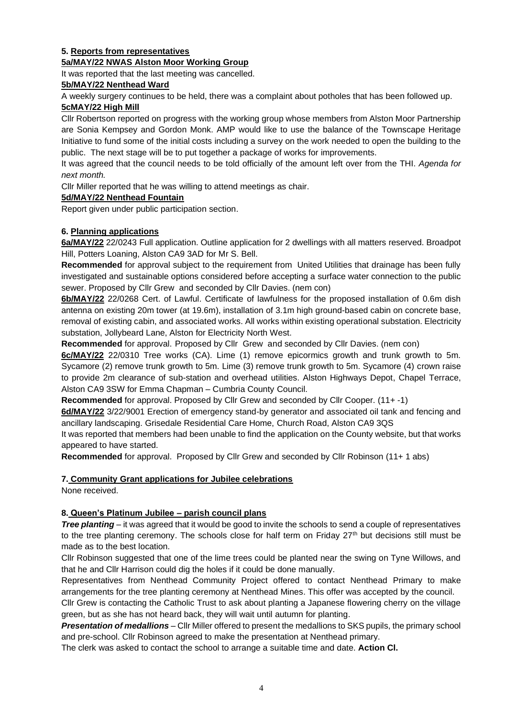## **5. Reports from representatives**

### **5a/MAY/22 NWAS Alston Moor Working Group**

It was reported that the last meeting was cancelled.

## **5b/MAY/22 Nenthead Ward**

A weekly surgery continues to be held, there was a complaint about potholes that has been followed up.

### **5cMAY/22 High Mill**

Cllr Robertson reported on progress with the working group whose members from Alston Moor Partnership are Sonia Kempsey and Gordon Monk. AMP would like to use the balance of the Townscape Heritage Initiative to fund some of the initial costs including a survey on the work needed to open the building to the public. The next stage will be to put together a package of works for improvements.

It was agreed that the council needs to be told officially of the amount left over from the THI. *Agenda for next month.* 

Cllr Miller reported that he was willing to attend meetings as chair.

## **5d/MAY/22 Nenthead Fountain**

Report given under public participation section.

## **6. Planning applications**

**6a/MAY/22** 22/0243 Full application. Outline application for 2 dwellings with all matters reserved. Broadpot Hill, Potters Loaning, Alston CA9 3AD for Mr S. Bell.

**Recommended** for approval subject to the requirement from United Utilities that drainage has been fully investigated and sustainable options considered before accepting a surface water connection to the public sewer. Proposed by Cllr Grew and seconded by Cllr Davies. (nem con)

**6b/MAY/22** 22/0268 Cert. of Lawful. Certificate of lawfulness for the proposed installation of 0.6m dish antenna on existing 20m tower (at 19.6m), installation of 3.1m high ground-based cabin on concrete base, removal of existing cabin, and associated works. All works within existing operational substation. Electricity substation, Jollybeard Lane, Alston for Electricity North West.

**Recommended** for approval. Proposed by Cllr Grew and seconded by Cllr Davies. (nem con)

**6c/MAY/22** 22/0310 Tree works (CA). Lime (1) remove epicormics growth and trunk growth to 5m. Sycamore (2) remove trunk growth to 5m. Lime (3) remove trunk growth to 5m. Sycamore (4) crown raise to provide 2m clearance of sub-station and overhead utilities. Alston Highways Depot, Chapel Terrace, Alston CA9 3SW for Emma Chapman – Cumbria County Council.

**Recommended** for approval. Proposed by Cllr Grew and seconded by Cllr Cooper. (11+ -1)

**6d/MAY/22** 3/22/9001 Erection of emergency stand-by generator and associated oil tank and fencing and ancillary landscaping. Grisedale Residential Care Home, Church Road, Alston CA9 3QS

It was reported that members had been unable to find the application on the County website, but that works appeared to have started.

**Recommended** for approval. Proposed by Cllr Grew and seconded by Cllr Robinson (11+ 1 abs)

## **7. Community Grant applications for Jubilee celebrations**

None received.

# **8. Queen's Platinum Jubilee – parish council plans**

*Tree planting* – it was agreed that it would be good to invite the schools to send a couple of representatives to the tree planting ceremony. The schools close for half term on Friday  $27<sup>th</sup>$  but decisions still must be made as to the best location.

Cllr Robinson suggested that one of the lime trees could be planted near the swing on Tyne Willows, and that he and Cllr Harrison could dig the holes if it could be done manually.

Representatives from Nenthead Community Project offered to contact Nenthead Primary to make arrangements for the tree planting ceremony at Nenthead Mines. This offer was accepted by the council.

Cllr Grew is contacting the Catholic Trust to ask about planting a Japanese flowering cherry on the village green, but as she has not heard back, they will wait until autumn for planting.

*Presentation of medallions* – Cllr Miller offered to present the medallions to SKS pupils, the primary school and pre-school. Cllr Robinson agreed to make the presentation at Nenthead primary.

The clerk was asked to contact the school to arrange a suitable time and date. **Action Cl.**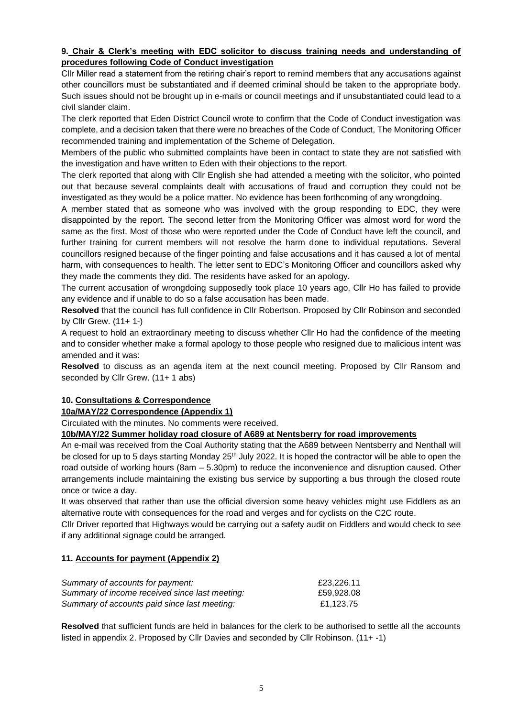## **9. Chair & Clerk's meeting with EDC solicitor to discuss training needs and understanding of procedures following Code of Conduct investigation**

Cllr Miller read a statement from the retiring chair's report to remind members that any accusations against other councillors must be substantiated and if deemed criminal should be taken to the appropriate body. Such issues should not be brought up in e-mails or council meetings and if unsubstantiated could lead to a civil slander claim.

The clerk reported that Eden District Council wrote to confirm that the Code of Conduct investigation was complete, and a decision taken that there were no breaches of the Code of Conduct, The Monitoring Officer recommended training and implementation of the Scheme of Delegation.

Members of the public who submitted complaints have been in contact to state they are not satisfied with the investigation and have written to Eden with their objections to the report.

The clerk reported that along with Cllr English she had attended a meeting with the solicitor, who pointed out that because several complaints dealt with accusations of fraud and corruption they could not be investigated as they would be a police matter. No evidence has been forthcoming of any wrongdoing.

A member stated that as someone who was involved with the group responding to EDC, they were disappointed by the report. The second letter from the Monitoring Officer was almost word for word the same as the first. Most of those who were reported under the Code of Conduct have left the council, and further training for current members will not resolve the harm done to individual reputations. Several councillors resigned because of the finger pointing and false accusations and it has caused a lot of mental harm, with consequences to health. The letter sent to EDC's Monitoring Officer and councillors asked why they made the comments they did. The residents have asked for an apology.

The current accusation of wrongdoing supposedly took place 10 years ago, Cllr Ho has failed to provide any evidence and if unable to do so a false accusation has been made.

**Resolved** that the council has full confidence in Cllr Robertson. Proposed by Cllr Robinson and seconded by Cllr Grew. (11+ 1-)

A request to hold an extraordinary meeting to discuss whether Cllr Ho had the confidence of the meeting and to consider whether make a formal apology to those people who resigned due to malicious intent was amended and it was:

**Resolved** to discuss as an agenda item at the next council meeting. Proposed by Cllr Ransom and seconded by Cllr Grew. (11+ 1 abs)

# **10. Consultations & Correspondence**

### **10a/MAY/22 Correspondence (Appendix 1)**

Circulated with the minutes. No comments were received.

**10b/MAY/22 Summer holiday road closure of A689 at Nentsberry for road improvements**

An e-mail was received from the Coal Authority stating that the A689 between Nentsberry and Nenthall will be closed for up to 5 days starting Monday 25<sup>th</sup> July 2022. It is hoped the contractor will be able to open the road outside of working hours (8am – 5.30pm) to reduce the inconvenience and disruption caused. Other arrangements include maintaining the existing bus service by supporting a bus through the closed route once or twice a day.

It was observed that rather than use the official diversion some heavy vehicles might use Fiddlers as an alternative route with consequences for the road and verges and for cyclists on the C2C route.

Cllr Driver reported that Highways would be carrying out a safety audit on Fiddlers and would check to see if any additional signage could be arranged.

### **11. Accounts for payment (Appendix 2)**

| Summary of accounts for payment:               | £23.226.11 |
|------------------------------------------------|------------|
| Summary of income received since last meeting: | £59,928,08 |
| Summary of accounts paid since last meeting:   | £1.123.75  |

**Resolved** that sufficient funds are held in balances for the clerk to be authorised to settle all the accounts listed in appendix 2. Proposed by Cllr Davies and seconded by Cllr Robinson. (11+ -1)